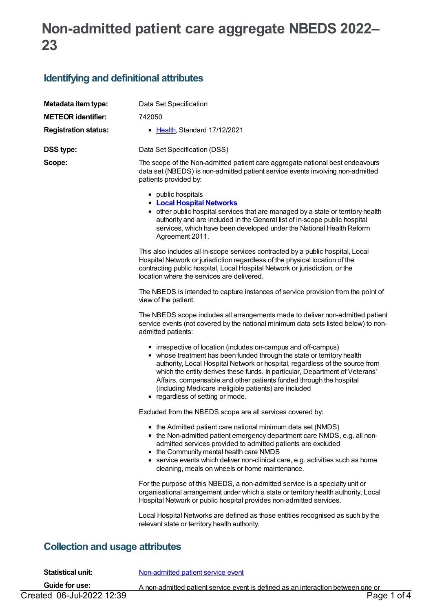# **Non-admitted patient care aggregate NBEDS 2022– 23**

## **Identifying and definitional attributes**

| Metadata item type:<br><b>METEOR identifier:</b> | Data Set Specification<br>742050                                                                                                                                                                                                                                                                                                                                                                                                                                              |  |  |
|--------------------------------------------------|-------------------------------------------------------------------------------------------------------------------------------------------------------------------------------------------------------------------------------------------------------------------------------------------------------------------------------------------------------------------------------------------------------------------------------------------------------------------------------|--|--|
| <b>Registration status:</b>                      | • Health, Standard 17/12/2021                                                                                                                                                                                                                                                                                                                                                                                                                                                 |  |  |
| <b>DSS type:</b>                                 | Data Set Specification (DSS)                                                                                                                                                                                                                                                                                                                                                                                                                                                  |  |  |
| Scope:                                           | The scope of the Non-admitted patient care aggregate national best endeavours<br>data set (NBEDS) is non-admitted patient service events involving non-admitted<br>patients provided by:                                                                                                                                                                                                                                                                                      |  |  |
|                                                  | • public hospitals<br><b>• Local Hospital Networks</b><br>• other public hospital services that are managed by a state or territory health<br>authority and are included in the General list of in-scope public hospital<br>services, which have been developed under the National Health Reform<br>Agreement 2011.                                                                                                                                                           |  |  |
|                                                  | This also includes all in-scope services contracted by a public hospital, Local<br>Hospital Network or jurisdiction regardless of the physical location of the<br>contracting public hospital, Local Hospital Network or jurisdiction, or the<br>location where the services are delivered.                                                                                                                                                                                   |  |  |
|                                                  | The NBEDS is intended to capture instances of service provision from the point of<br>view of the patient.                                                                                                                                                                                                                                                                                                                                                                     |  |  |
|                                                  | The NBEDS scope includes all arrangements made to deliver non-admitted patient<br>service events (not covered by the national minimum data sets listed below) to non-<br>admitted patients:                                                                                                                                                                                                                                                                                   |  |  |
|                                                  | • irrespective of location (includes on-campus and off-campus)<br>• whose treatment has been funded through the state or territory health<br>authority, Local Hospital Network or hospital, regardless of the source from<br>which the entity derives these funds. In particular, Department of Veterans'<br>Affairs, compensable and other patients funded through the hospital<br>(including Medicare ineligible patients) are included<br>• regardless of setting or mode. |  |  |
|                                                  | Excluded from the NBEDS scope are all services covered by:                                                                                                                                                                                                                                                                                                                                                                                                                    |  |  |
|                                                  | • the Admitted patient care national minimum data set (NMDS)<br>• the Non-admitted patient emergency department care NMDS, e.g. all non-<br>admitted services provided to admitted patients are excluded<br>• the Community mental health care NMDS<br>• service events which deliver non-clinical care, e.g. activities such as home<br>cleaning, meals on wheels or home maintenance.                                                                                       |  |  |
|                                                  | For the purpose of this NBEDS, a non-admitted service is a specialty unit or<br>organisational arrangement under which a state or territory health authority, Local<br>Hospital Network or public hospital provides non-admitted services.                                                                                                                                                                                                                                    |  |  |
|                                                  | Local Hospital Networks are defined as those entities recognised as such by the<br>relevant state or territory health authority.                                                                                                                                                                                                                                                                                                                                              |  |  |

## **Collection and usage attributes**

| <b>Statistical unit:</b>  | Non-admitted patient service event                                               |
|---------------------------|----------------------------------------------------------------------------------|
| Guide for use:            | A non-admitted patient service event is defined as an interaction between one or |
| Created 06-Jul-2022 12:39 | Page 1 of 4                                                                      |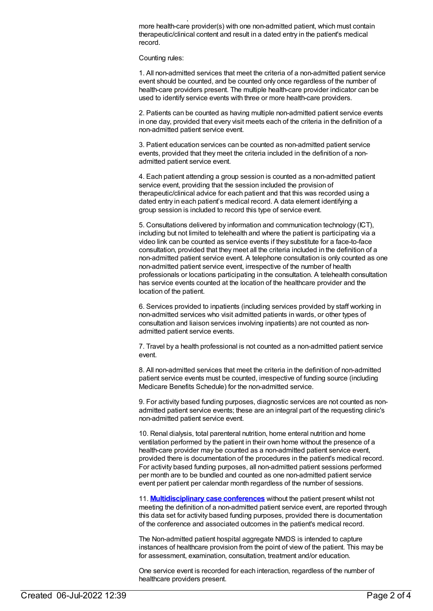$A$  non-admitted patient service event is defined as an interaction between order  $\mathcal{A}$ more health-care provider(s) with one non-admitted patient, which must contain therapeutic/clinical content and result in a dated entry in the patient's medical record.

Counting rules:

1. All non-admitted services that meet the criteria of a non-admitted patient service event should be counted, and be counted only once regardless of the number of health-care providers present. The multiple health-care provider indicator can be used to identify service events with three or more health-care providers.

2. Patients can be counted as having multiple non-admitted patient service events in one day, provided that every visit meets each of the criteria in the definition of a non-admitted patient service event.

3. Patient education services can be counted as non-admitted patient service events, provided that they meet the criteria included in the definition of a nonadmitted patient service event.

4. Each patient attending a group session is counted as a non-admitted patient service event, providing that the session included the provision of therapeutic/clinical advice for each patient and that this was recorded using a dated entry in each patient's medical record. A data element identifying a group session is included to record this type of service event.

5. Consultations delivered by information and communication technology (ICT), including but not limited to telehealth and where the patient is participating via a video link can be counted as service events if they substitute for a face-to-face consultation, provided that they meet all the criteria included in the definition of a non-admitted patient service event. A telephone consultation is only counted as one non-admitted patient service event, irrespective of the number of health professionals or locations participating in the consultation. A telehealth consultation has service events counted at the location of the healthcare provider and the location of the patient.

6. Services provided to inpatients (including services provided by staff working in non-admitted services who visit admitted patients in wards, or other types of consultation and liaison services involving inpatients) are not counted as nonadmitted patient service events.

7. Travel by a health professional is not counted as a non-admitted patient service event.

8. All non-admitted services that meet the criteria in the definition of non-admitted patient service events must be counted, irrespective of funding source (including Medicare Benefits Schedule) for the non-admitted service.

9. For activity based funding purposes, diagnostic services are not counted as nonadmitted patient service events; these are an integral part of the requesting clinic's non-admitted patient service event.

10. Renal dialysis, total parenteral nutrition, home enteral nutrition and home ventilation performed by the patient in their own home without the presence of a health-care provider may be counted as a non-admitted patient service event, provided there is documentation of the procedures in the patient's medical record. For activity based funding purposes, all non-admitted patient sessions performed per month are to be bundled and counted as one non-admitted patient service event per patient per calendar month regardless of the number of sessions.

11. **[Multidisciplinary](https://meteor.aihw.gov.au/content/614408) case conferences** without the patient present whilst not meeting the definition of a non-admitted patient service event, are reported through this data set for activity based funding purposes, provided there is documentation of the conference and associated outcomes in the patient's medical record.

The Non-admitted patient hospital aggregate NMDS is intended to capture instances of healthcare provision from the point of view of the patient. This may be for assessment, examination, consultation, treatment and/or education.

One service event is recorded for each interaction, regardless of the number of healthcare providers present.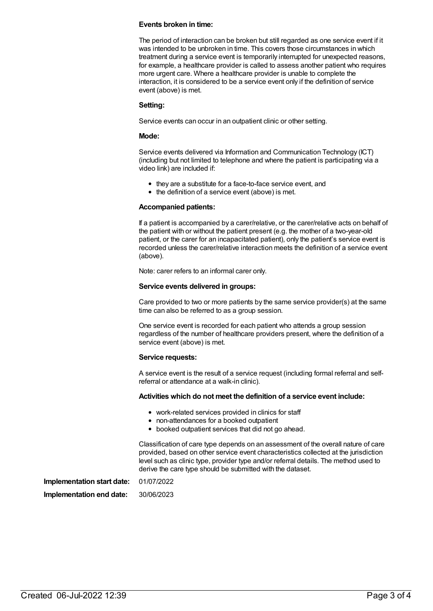#### **Events broken in time:**

The period of interaction can be broken but still regarded as one service event if it was intended to be unbroken in time. This covers those circumstances in which treatment during a service event is temporarily interrupted for unexpected reasons, for example, a healthcare provider is called to assess another patient who requires more urgent care. Where a healthcare provider is unable to complete the interaction, it is considered to be a service event only if the definition of service event (above) is met.

#### **Setting:**

Service events can occur in an outpatient clinic or other setting.

#### **Mode:**

Service events delivered via Information and Communication Technology (ICT) (including but not limited to telephone and where the patient is participating via a video link) are included if:

- they are a substitute for a face-to-face service event, and
- $\bullet$  the definition of a service event (above) is met.

#### **Accompanied patients:**

If a patient is accompanied by a carer/relative, or the carer/relative acts on behalf of the patient with or without the patient present (e.g. the mother of a two-year-old patient, or the carer for an incapacitated patient), only the patient's service event is recorded unless the carer/relative interaction meets the definition of a service event (above).

Note: carer refers to an informal carer only.

#### **Service events delivered in groups:**

Care provided to two or more patients by the same service provider(s) at the same time can also be referred to as a group session.

One service event is recorded for each patient who attends a group session regardless of the number of healthcare providers present, where the definition of a service event (above) is met.

#### **Service requests:**

A service event is the result of a service request (including formal referral and selfreferral or attendance at a walk-in clinic).

#### **Activities which do not meet the definition of a service event include:**

- work-related services provided in clinics for staff
- non-attendances for a booked outpatient
- booked outpatient services that did not go ahead.

Classification of care type depends on an assessment of the overall nature of care provided, based on other service event characteristics collected at the jurisdiction level such as clinic type, provider type and/or referral details. The method used to derive the care type should be submitted with the dataset.

**Implementation start date:** 01/07/2022 **Implementation end date:** 30/06/2023